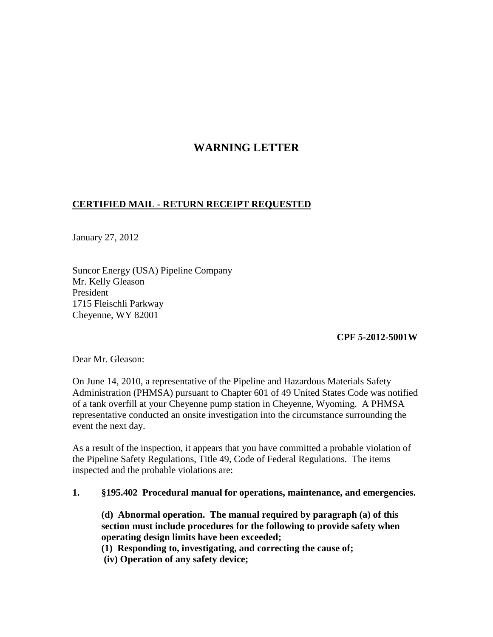## **WARNING LETTER**

## **CERTIFIED MAIL - RETURN RECEIPT REQUESTED**

January 27, 2012

Suncor Energy (USA) Pipeline Company Mr. Kelly Gleason President 1715 Fleischli Parkway Cheyenne, WY 82001

**CPF 5-2012-5001W**

Dear Mr. Gleason:

On June 14, 2010, a representative of the Pipeline and Hazardous Materials Safety Administration (PHMSA) pursuant to Chapter 601 of 49 United States Code was notified of a tank overfill at your Cheyenne pump station in Cheyenne, Wyoming. A PHMSA representative conducted an onsite investigation into the circumstance surrounding the event the next day.

As a result of the inspection, it appears that you have committed a probable violation of the Pipeline Safety Regulations, Title 49, Code of Federal Regulations. The items inspected and the probable violations are:

## **1. §195.402 Procedural manual for operations, maintenance, and emergencies.**

**(d) Abnormal operation. The manual required by paragraph (a) of this section must include procedures for the following to provide safety when operating design limits have been exceeded;**

**(1) Responding to, investigating, and correcting the cause of;**

**(iv) Operation of any safety device;**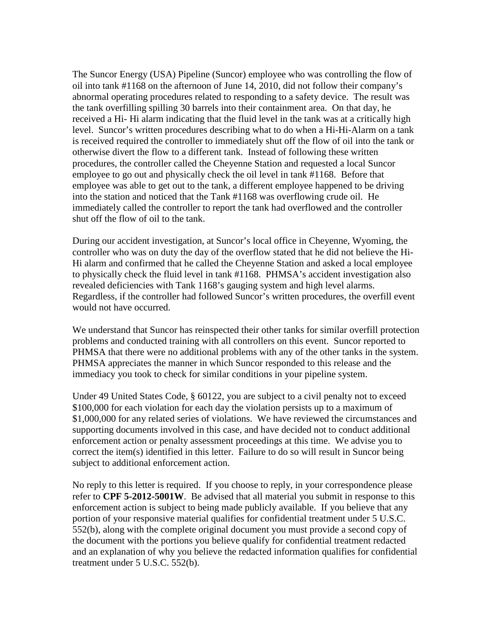The Suncor Energy (USA) Pipeline (Suncor) employee who was controlling the flow of oil into tank #1168 on the afternoon of June 14, 2010, did not follow their company's abnormal operating procedures related to responding to a safety device. The result was the tank overfilling spilling 30 barrels into their containment area. On that day, he received a Hi- Hi alarm indicating that the fluid level in the tank was at a critically high level. Suncor's written procedures describing what to do when a Hi-Hi-Alarm on a tank is received required the controller to immediately shut off the flow of oil into the tank or otherwise divert the flow to a different tank. Instead of following these written procedures, the controller called the Cheyenne Station and requested a local Suncor employee to go out and physically check the oil level in tank #1168. Before that employee was able to get out to the tank, a different employee happened to be driving into the station and noticed that the Tank #1168 was overflowing crude oil. He immediately called the controller to report the tank had overflowed and the controller shut off the flow of oil to the tank.

During our accident investigation, at Suncor's local office in Cheyenne, Wyoming, the controller who was on duty the day of the overflow stated that he did not believe the Hi-Hi alarm and confirmed that he called the Cheyenne Station and asked a local employee to physically check the fluid level in tank #1168. PHMSA's accident investigation also revealed deficiencies with Tank 1168's gauging system and high level alarms. Regardless, if the controller had followed Suncor's written procedures, the overfill event would not have occurred.

We understand that Suncor has reinspected their other tanks for similar overfill protection problems and conducted training with all controllers on this event. Suncor reported to PHMSA that there were no additional problems with any of the other tanks in the system. PHMSA appreciates the manner in which Suncor responded to this release and the immediacy you took to check for similar conditions in your pipeline system.

Under 49 United States Code, § 60122, you are subject to a civil penalty not to exceed \$100,000 for each violation for each day the violation persists up to a maximum of \$1,000,000 for any related series of violations. We have reviewed the circumstances and supporting documents involved in this case, and have decided not to conduct additional enforcement action or penalty assessment proceedings at this time. We advise you to correct the item(s) identified in this letter. Failure to do so will result in Suncor being subject to additional enforcement action.

No reply to this letter is required. If you choose to reply, in your correspondence please refer to **CPF 5-2012-5001W**.Be advised that all material you submit in response to this enforcement action is subject to being made publicly available. If you believe that any portion of your responsive material qualifies for confidential treatment under 5 U.S.C. 552(b), along with the complete original document you must provide a second copy of the document with the portions you believe qualify for confidential treatment redacted and an explanation of why you believe the redacted information qualifies for confidential treatment under 5 U.S.C. 552(b).